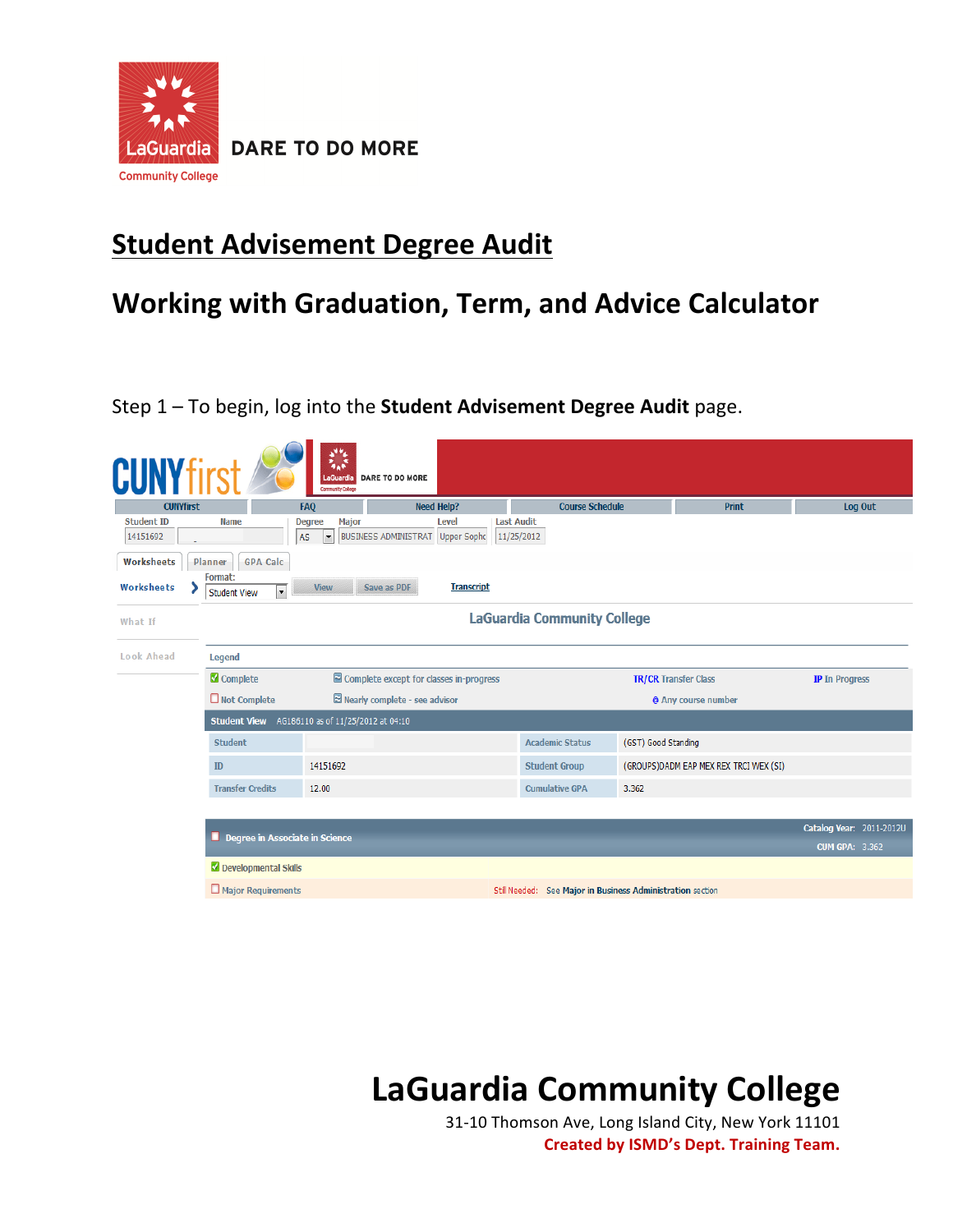

**DARE TO DO MORE** 

## **Student Advisement Degree Audit**

## **Working with Graduation, Term, and Advice Calculator**

Step 1 - To begin, log into the **Student Advisement Degree Audit** page.

| <b>CUNYfirst</b><br><b>CUNYfirst</b> |                                                                                      | FAQ                                                        | <b>Need Help?</b>                                | <b>Course Schedule</b>             | <b>Print</b>                           | Log Out                  |
|--------------------------------------|--------------------------------------------------------------------------------------|------------------------------------------------------------|--------------------------------------------------|------------------------------------|----------------------------------------|--------------------------|
| <b>Student ID</b><br>14151692        | <b>Name</b>                                                                          | Major<br><b>Degree</b><br><b>AS</b><br>$\vert \cdot \vert$ | <b>Level</b><br>BUSINESS ADMINISTRAT Upper Sopho | <b>Last Audit</b><br>11/25/2012    |                                        |                          |
| Worksheets<br>Worksheets             | <b>GPA Calc</b><br>Planner<br>Format:<br>$\blacktriangledown$<br><b>Student View</b> | <b>View</b>                                                | Save as PDF<br><b>Transcript</b>                 |                                    |                                        |                          |
| What If                              |                                                                                      |                                                            |                                                  | <b>LaGuardia Community College</b> |                                        |                          |
| Look Ahead                           | Legend                                                                               |                                                            |                                                  |                                    |                                        |                          |
|                                      | Complete                                                                             |                                                            | Complete except for classes in-progress          |                                    | <b>TR/CR Transfer Class</b>            | <b>IP</b> In Progress    |
|                                      | $\Box$ Not Complete                                                                  |                                                            | $\boxtimes$ Nearly complete - see advisor        |                                    | @ Any course number                    |                          |
|                                      | Student View AG186110 as of 11/25/2012 at 04:10                                      |                                                            |                                                  |                                    |                                        |                          |
|                                      | <b>Student</b>                                                                       |                                                            |                                                  | <b>Academic Status</b>             | (GST) Good Standing                    |                          |
|                                      |                                                                                      | 14151692                                                   |                                                  | <b>Student Group</b>               | (GROUPS)DADM EAP MEX REX TRCI WEX (SI) |                          |
|                                      | ID                                                                                   |                                                            |                                                  |                                    |                                        |                          |
|                                      | <b>Transfer Credits</b>                                                              | 12.00                                                      |                                                  | <b>Cumulative GPA</b>              | 3.362                                  |                          |
|                                      |                                                                                      |                                                            |                                                  |                                    |                                        |                          |
|                                      | Degree in Associate in Science                                                       |                                                            |                                                  |                                    |                                        | <b>CUM GPA: 3.362</b>    |
|                                      | Developmental Skills                                                                 |                                                            |                                                  |                                    |                                        | Catalog Year: 2011-2012U |

## **LaGuardia Community College**

31-10 Thomson Ave, Long Island City, New York 11101 **Created by ISMD's Dept. Training Team.**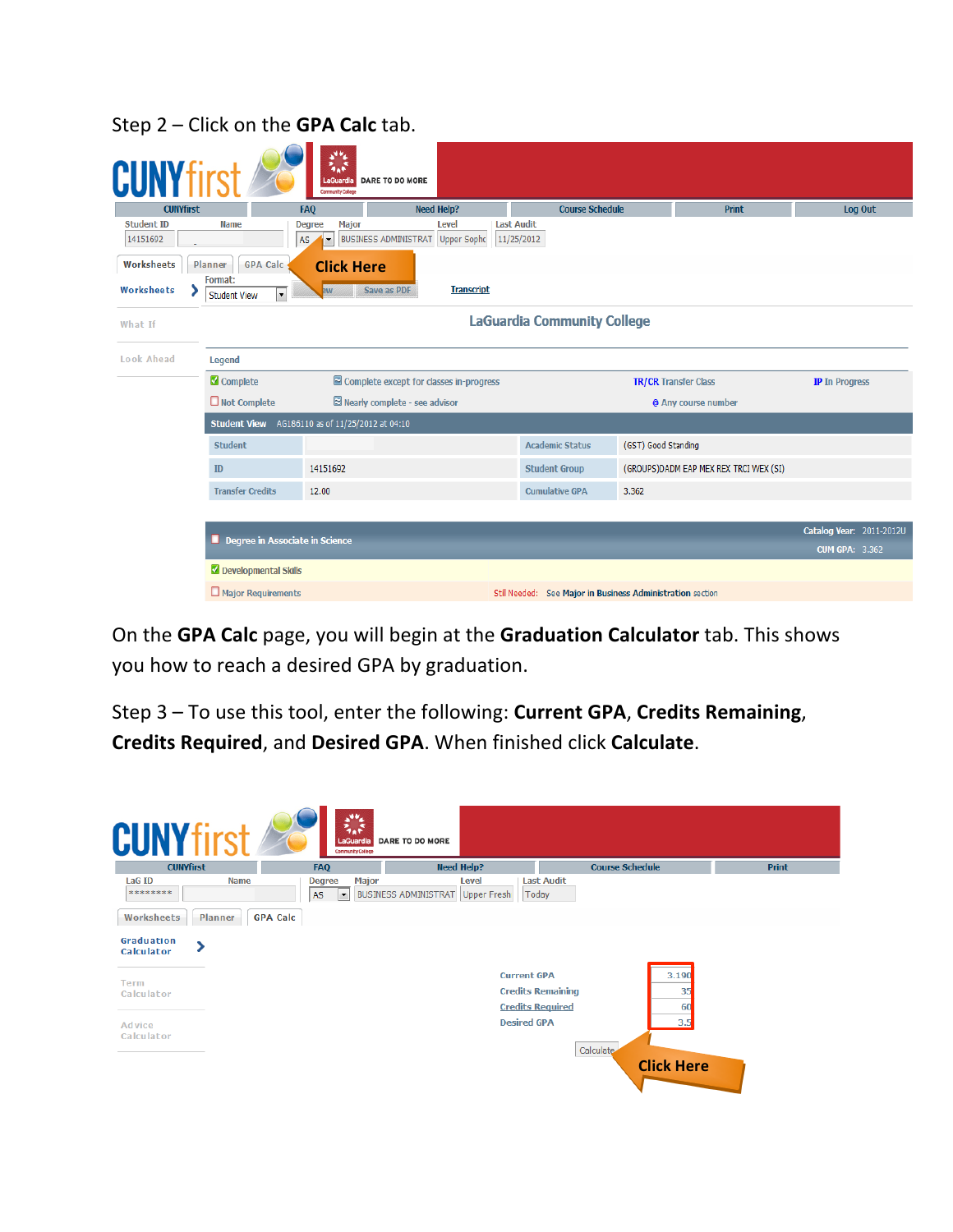| <b>CUNYfirst</b>              |                                                        | <b>FAQ</b>                                                   | <b>Need Help?</b>                                          | <b>Course Schedule</b>                                     |                             | <b>Print</b>                           |                          | Log Out |
|-------------------------------|--------------------------------------------------------|--------------------------------------------------------------|------------------------------------------------------------|------------------------------------------------------------|-----------------------------|----------------------------------------|--------------------------|---------|
| <b>Student ID</b><br>14151692 | <b>Name</b>                                            | <b>Major</b><br><b>Degree</b><br>AS.<br>$\blacktriangledown$ | Level<br><b>BUSINESS ADMINISTRAT</b><br><b>Upper Sopho</b> | <b>Last Audit</b><br>11/25/2012                            |                             |                                        |                          |         |
| Worksheets                    | Planner<br><b>GPA Calc</b>                             | <b>Click Here</b>                                            |                                                            |                                                            |                             |                                        |                          |         |
| Worksheets                    | Format:<br>$\blacktriangledown$<br><b>Student View</b> | <b>EW</b>                                                    | <b>Transcript</b><br>Save as PDF                           |                                                            |                             |                                        |                          |         |
| What If                       |                                                        |                                                              |                                                            | <b>LaGuardia Community College</b>                         |                             |                                        |                          |         |
| Look Ahead                    | Legend                                                 |                                                              |                                                            |                                                            |                             |                                        |                          |         |
|                               | Complete                                               |                                                              | Complete except for classes in-progress                    |                                                            | <b>TR/CR Transfer Class</b> |                                        | <b>IP</b> In Progress    |         |
|                               | $\Box$ Not Complete                                    |                                                              | Nearly complete - see advisor                              |                                                            |                             | @ Any course number                    |                          |         |
|                               | <b>Student View</b> AG186110 as of 11/25/2012 at 04:10 |                                                              |                                                            |                                                            |                             |                                        |                          |         |
|                               | <b>Student</b>                                         |                                                              |                                                            | <b>Academic Status</b>                                     | (GST) Good Standing         |                                        |                          |         |
|                               | ID                                                     | 14151692                                                     |                                                            | <b>Student Group</b>                                       |                             | (GROUPS)DADM EAP MEX REX TRCI WEX (SI) |                          |         |
|                               | <b>Transfer Credits</b>                                | 12.00                                                        |                                                            | <b>Cumulative GPA</b>                                      | 3.362                       |                                        |                          |         |
|                               |                                                        |                                                              |                                                            |                                                            |                             |                                        |                          |         |
|                               | Degree in Associate in Science                         |                                                              |                                                            |                                                            |                             |                                        | Catalog Year: 2011-2012U |         |
|                               |                                                        |                                                              |                                                            |                                                            |                             |                                        | <b>CUM GPA: 3.362</b>    |         |
|                               | Developmental Skills                                   |                                                              |                                                            |                                                            |                             |                                        |                          |         |
|                               | $\Box$ Major Requirements                              |                                                              |                                                            | Still Needed: See Major in Business Administration section |                             |                                        |                          |         |

Step 2 - Click on the **GPA Calc** tab.

On the GPA Calc page, you will begin at the Graduation Calculator tab. This shows you how to reach a desired GPA by graduation.

Step 3 - To use this tool, enter the following: **Current GPA**, **Credits Remaining**, **Credits Required**, and **Desired GPA**. When finished click **Calculate**.

| <b>CUNYfirst</b>                         | 蒜<br>LaGuardia<br><b>Community College</b>                             | <b>DARE TO DO MORE</b>                    |                                                                          |              |
|------------------------------------------|------------------------------------------------------------------------|-------------------------------------------|--------------------------------------------------------------------------|--------------|
| <b>CUNYfirst</b>                         | FAQ                                                                    | <b>Need Help?</b>                         | <b>Course Schedule</b>                                                   | <b>Print</b> |
| <b>LaG ID</b><br><b>Name</b><br>******** | <b>Major</b><br><b>Degree</b><br><b>AS</b><br>$\overline{\phantom{a}}$ | Level<br>BUSINESS ADMINISTRAT Upper Fresh | <b>Last Audit</b><br>Today                                               |              |
| Worksheets<br>Planner                    | <b>GPA Calc</b>                                                        |                                           |                                                                          |              |
| Graduation<br><b>Calculator</b>          |                                                                        |                                           |                                                                          |              |
| Term<br>Calculator                       |                                                                        | <b>Current GPA</b>                        | 3.190<br><b>Credits Remaining</b><br>35<br><b>Credits Required</b><br>60 |              |
| Advice<br>Calculator                     |                                                                        | <b>Desired GPA</b>                        | 3.5<br>Calculate                                                         |              |
|                                          |                                                                        |                                           | <b>Click Here</b>                                                        |              |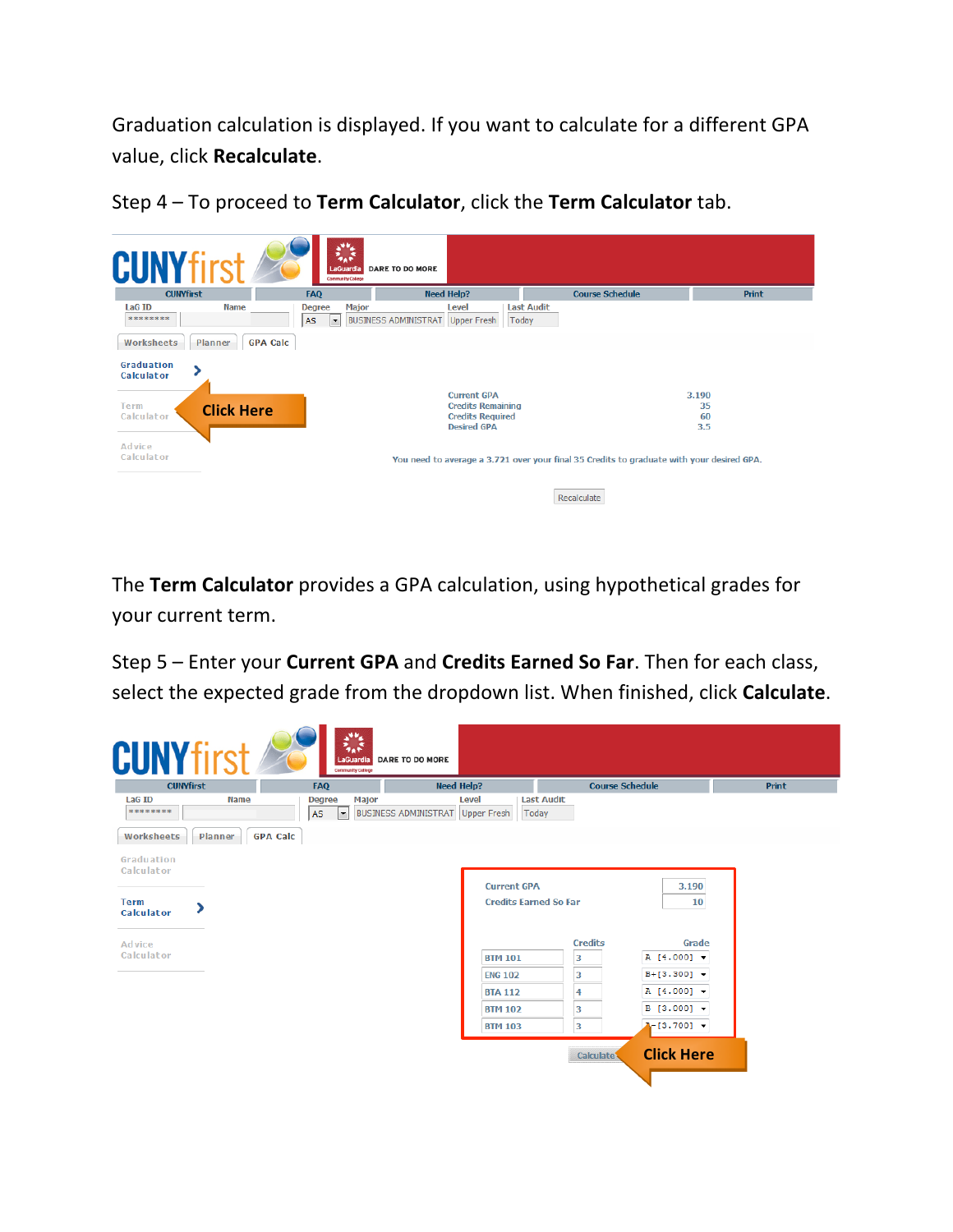Graduation calculation is displayed. If you want to calculate for a different GPA value, click **Recalculate**.



Step 4 - To proceed to Term Calculator, click the Term Calculator tab.

The **Term Calculator** provides a GPA calculation, using hypothetical grades for your current term.

Step 5 - Enter your **Current GPA** and **Credits Earned So Far**. Then for each class, select the expected grade from the dropdown list. When finished, click **Calculate**.

| <b>CUNYfirst</b>                 |                            | FAQ                                                      | <b>Need Help?</b>                                                 |                                  | <b>Course Schedule</b> |                                      | <b>Print</b> |
|----------------------------------|----------------------------|----------------------------------------------------------|-------------------------------------------------------------------|----------------------------------|------------------------|--------------------------------------|--------------|
| LaG ID<br>********               | <b>Name</b>                | Major<br><b>Degree</b><br>AS<br>$\overline{\phantom{a}}$ | <b>Level</b><br><b>BUSINESS ADMINISTRAT</b><br><b>Upper Fresh</b> | <b>Last Audit</b><br>Today       |                        |                                      |              |
| Worksheets<br>Graduation         | <b>GPA Calc</b><br>Planner |                                                          |                                                                   |                                  |                        |                                      |              |
| Calculator                       |                            |                                                          |                                                                   | <b>Current GPA</b>               |                        | 3.190                                |              |
| <b>Term</b><br><b>Calculator</b> |                            |                                                          |                                                                   | <b>Credits Earned So Far</b>     |                        | 10                                   |              |
| Advice                           |                            |                                                          |                                                                   |                                  | <b>Credits</b>         | Grade                                |              |
| Calculator                       |                            |                                                          |                                                                   | <b>BTM 101</b><br><b>ENG 102</b> | 3<br>3                 | A [4.000] v<br>$B+[3.300]$ $\bullet$ |              |
|                                  |                            |                                                          |                                                                   | <b>BTA 112</b>                   | 4                      | A [4.000] +                          |              |
|                                  |                            |                                                          |                                                                   | <b>BTM 102</b>                   | 3                      | $B [3.000]$ $\star$                  |              |
|                                  |                            |                                                          |                                                                   | <b>BTM 103</b>                   | 3                      | $A - [3.700]$ $\sim$                 |              |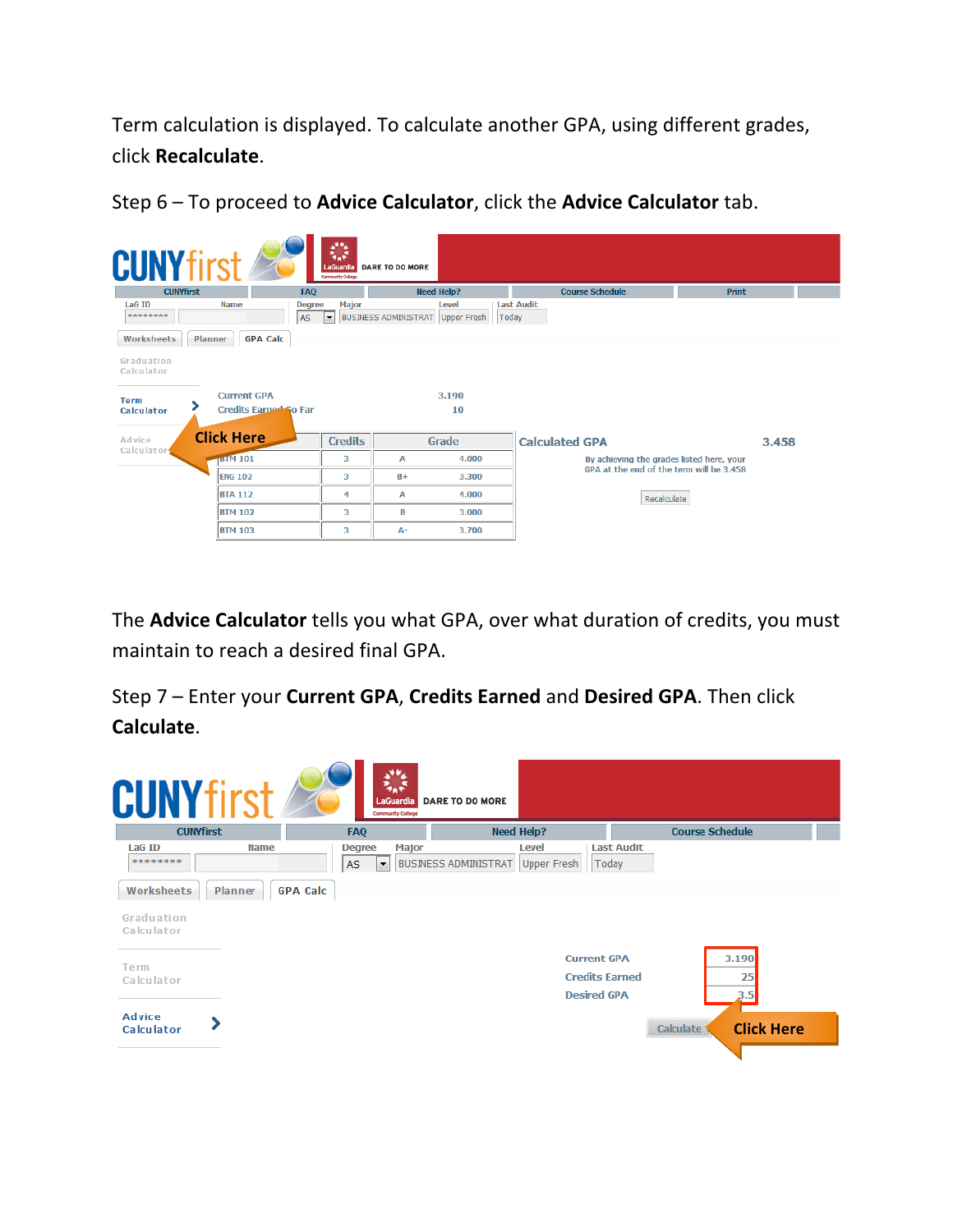Term calculation is displayed. To calculate another GPA, using different grades, click **Recalculate**. 

| <b>CUNYfirst</b>          |                                    | 美味<br>LaGuardia<br><b>Community College</b> | DARE TO DO MORE                  |                |                                           |              |  |
|---------------------------|------------------------------------|---------------------------------------------|----------------------------------|----------------|-------------------------------------------|--------------|--|
| <b>CUNYfirst</b>          | <b>FAQ</b>                         |                                             | <b>Need Help?</b>                |                | <b>Course Schedule</b>                    | <b>Print</b> |  |
| <b>LaG ID</b><br>******** | <b>Name</b><br><b>Degree</b><br>AS | <b>Major</b><br>▾                           | BUSINESS ADMINISTRAT Upper Fresh | Level<br>Today | <b>Last Audit</b>                         |              |  |
| Worksheets                | <b>GPA Calc</b><br>Planner         |                                             |                                  |                |                                           |              |  |
| Graduation<br>Calculator  |                                    |                                             |                                  |                |                                           |              |  |
| <b>Term</b>               | <b>Current GPA</b>                 |                                             |                                  | 3.190          |                                           |              |  |
| <b>Calculator</b>         | <b>Credits Earned So Far</b>       |                                             |                                  | 10             |                                           |              |  |
| Advice                    | <b>Click Here</b>                  | <b>Credits</b>                              | Grade                            |                | <b>Calculated GPA</b>                     | 3.458        |  |
| Calculator                | <b>BTM 101</b>                     | з                                           | A                                | 4.000          | By achieving the grades listed here, your |              |  |
|                           | <b>ENG 102</b>                     | з                                           | $B +$                            | 3.300          | GPA at the end of the term will be 3.458  |              |  |
|                           | <b>BTA 112</b>                     | 4                                           | A                                | 4.000          | Recalculate                               |              |  |
|                           | <b>BTM 102</b>                     | 3                                           | B                                | 3.000          |                                           |              |  |
|                           | <b>BTM 103</b>                     | з                                           | А-                               | 3.700          |                                           |              |  |

Step 6 - To proceed to Advice Calculator, click the Advice Calculator tab.

The **Advice Calculator** tells you what GPA, over what duration of credits, you must maintain to reach a desired final GPA.

Step 7 - Enter your **Current GPA, Credits Earned** and Desired GPA. Then click **Calculate**.

| <b>CUNYfirst</b>                              |             | 类<br>LaGuardia<br><b>Community College</b>                             | <b>DARE TO DO MORE</b>                           |                                             |
|-----------------------------------------------|-------------|------------------------------------------------------------------------|--------------------------------------------------|---------------------------------------------|
| <b>CUNYfirst</b>                              |             | <b>FAQ</b>                                                             | <b>Need Help?</b>                                | <b>Course Schedule</b>                      |
| <b>LaG ID</b><br>********                     | <b>Name</b> | <b>Major</b><br><b>Degree</b><br><b>AS</b><br>$\overline{\phantom{a}}$ | <b>Level</b><br>BUSINESS ADMINISTRAT Upper Fresh | <b>Last Audit</b><br>Today                  |
| <b>Worksheets</b><br>Graduation<br>Calculator | Planner     | <b>GPA Calc</b>                                                        |                                                  |                                             |
| <b>Term</b><br>Calculator                     |             |                                                                        | <b>Current GPA</b><br><b>Desired GPA</b>         | 3.190<br><b>Credits Earned</b><br>25<br>3.5 |
| Advice<br><b>Calculator</b>                   |             |                                                                        |                                                  | <b>Click Here</b><br><b>Calculate</b>       |